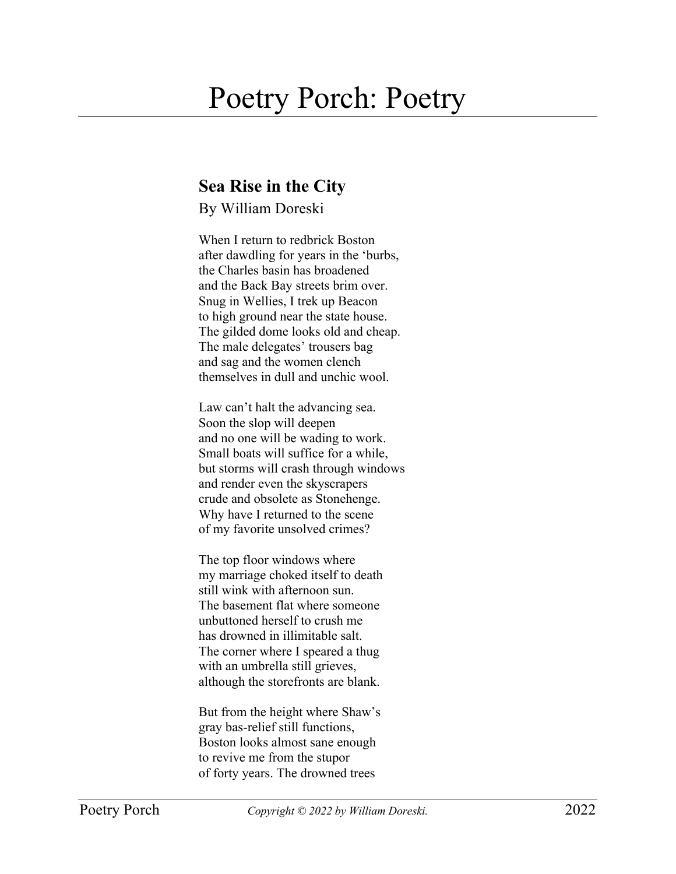## Poetry Porch: Poetry

## **Sea Rise in the City**

By William Doreski

When I return to redbrick Boston after dawdling for years in the 'burbs, the Charles basin has broadened and the Back Bay streets brim over. Snug in Wellies, I trek up Beacon to high ground near the state house. The gilded dome looks old and cheap. The male delegates' trousers bag and sag and the women clench themselves in dull and unchic wool.

Law can't halt the advancing sea. Soon the slop will deepen and no one will be wading to work. Small boats will suffice for a while, but storms will crash through windows and render even the skyscrapers crude and obsolete as Stonehenge. Why have I returned to the scene of my favorite unsolved crimes?

The top floor windows where my marriage choked itself to death still wink with afternoon sun. The basement flat where someone unbuttoned herself to crush me has drowned in illimitable salt. The corner where I speared a thug with an umbrella still grieves, although the storefronts are blank.

But from the height where Shaw's gray bas-relief still functions, Boston looks almost sane enough to revive me from the stupor of forty years. The drowned trees